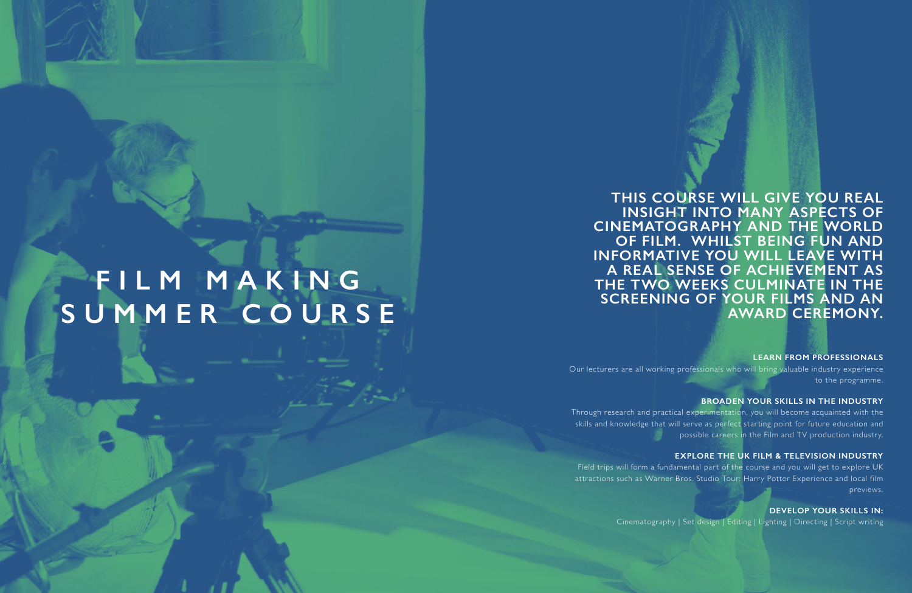**THIS COURSE WILL GIVE YOU REAL INSIGHT INTO MANY ASPECTS OF CINEMATOGRAPHY AND THE WORLD OF FILM. WHILST BEING FUN AND INFORMATIVE YOU WILL LEAVE WITH A REAL SENSE OF ACHIEVEMENT AS THE TWO WEEKS CULMINATE IN THE SCREENING OF YOUR FILMS AND AN AWARD CEREMONY.**

**LEARN FROM PROFESSIONALS** Our lecturers are all working professionals who will bring valuable industry experience to the programme.

**BROADEN YOUR SKILLS IN THE INDUSTRY** Through research and practical experimentation, you will become acquainted with the skills and knowledge that will serve as perfect starting point for future education and possible careers in the Film and TV production industry.

**EXPLORE THE UK FILM & TELEVISION INDUSTRY** Field trips will form a fundamental part of the course and you will get to explore UK attractions such as Warner Bros. Studio Tour: Harry Potter Experience and local film previews.

> **DEVELOP YOUR SKILLS IN:** Cinematography | Set design | Editing | Lighting | Directing | Script writing

**FILM MAKING**

**SUMMER COURSE**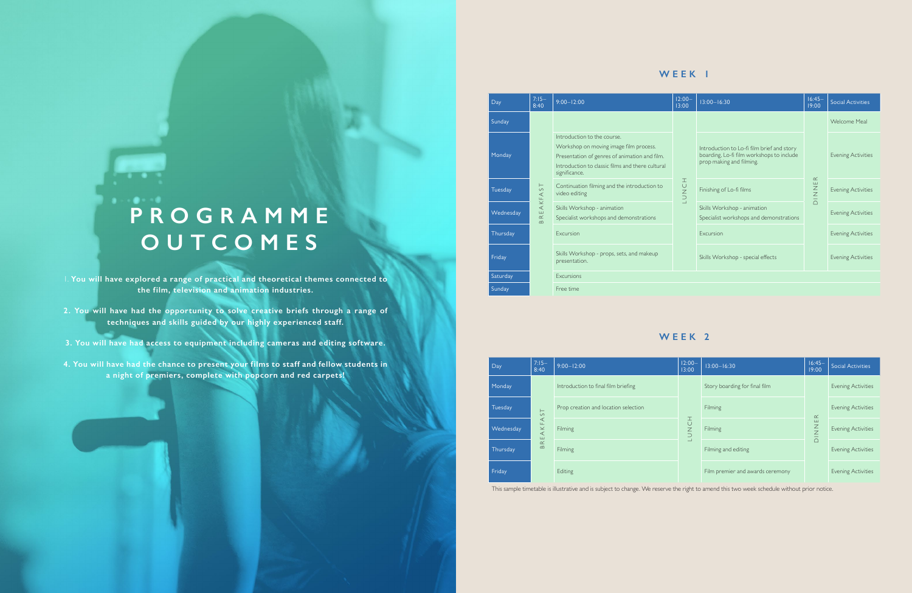1. **You will have explored a range of practical and theoretical themes connected to the film, television and animation industries.** 

- **2. You will have had the opportunity to solve creative briefs through a range of techniques and skills guided by our highly experienced staff.**
- **3. You will have had access to equipment including cameras and editing software.**
- **4. You will have had the chance to present your films to staff and fellow students in a night of premiers, complete with popcorn and red carpets!**

# **P R O G R A M M E OUTCOMES**

**..** 

| Day       | $7:15-$<br>8:40                                                                | $9:00 - 12:00$                                                                                                                                                                              | $12:00 -$<br>13:00 | $13:00 - 16:30$                                                                                                     | $16:45-$<br>19:00            | <b>Social Activities</b>  |  |
|-----------|--------------------------------------------------------------------------------|---------------------------------------------------------------------------------------------------------------------------------------------------------------------------------------------|--------------------|---------------------------------------------------------------------------------------------------------------------|------------------------------|---------------------------|--|
| Sunday    | $\frac{1}{\sqrt{2}}$<br>$\prec$<br>KF.<br>$\prec$<br>ш<br>$\simeq$<br>$\infty$ |                                                                                                                                                                                             | HONCH              |                                                                                                                     | $\propto$<br>Ш<br><b>NND</b> | Welcome Meal              |  |
| Monday    |                                                                                | Introduction to the course.<br>Workshop on moving image film process.<br>Presentation of genres of animation and film.<br>Introduction to classic films and there cultural<br>significance. |                    | Introduction to Lo-fi film brief and story<br>boarding, Lo-fi film workshops to include<br>prop making and filming. |                              | <b>Evening Activities</b> |  |
| Tuesday   |                                                                                | Continuation filming and the introduction to<br>video editing                                                                                                                               |                    | Finishing of Lo-fi films                                                                                            |                              | <b>Evening Activities</b> |  |
| Wednesday |                                                                                | Skills Workshop - animation<br>Specialist workshops and demonstrations                                                                                                                      |                    | Skills Workshop - animation<br>Specialist workshops and demonstrations                                              |                              | <b>Evening Activities</b> |  |
| Thursday  |                                                                                | <b>Excursion</b>                                                                                                                                                                            |                    | <b>Excursion</b>                                                                                                    |                              | <b>Evening Activities</b> |  |
| Friday    |                                                                                | Skills Workshop - props, sets, and makeup<br>presentation.                                                                                                                                  |                    | Skills Workshop - special effects                                                                                   |                              | <b>Evening Activities</b> |  |
| Saturday  |                                                                                | Excursions                                                                                                                                                                                  |                    |                                                                                                                     |                              |                           |  |
| Sunday    |                                                                                | Free time                                                                                                                                                                                   |                    |                                                                                                                     |                              |                           |  |

| Day            | $7:15-$<br>8:40                   | $9:00 - 12:00$                       | $12:00 -$<br>13:00                | $13:00 - 16:30$                  | $16:45-$<br>19:00                                        | <b>Social Activities</b>  |
|----------------|-----------------------------------|--------------------------------------|-----------------------------------|----------------------------------|----------------------------------------------------------|---------------------------|
| Monday         |                                   | Introduction to final film briefing  | I<br>$\frac{C}{Z}$<br>$\supseteq$ | Story boarding for final film    | $\simeq$<br>$\frac{1}{Z}$<br>$\qquad \qquad -$<br>$\Box$ | <b>Evening Activities</b> |
| <b>Tuesday</b> | $\vdash$<br>$\circ$               | Prop creation and location selection |                                   | Filming                          |                                                          | <b>Evening Activities</b> |
| Wednesday      | AKFA<br>$\mathbb R$ E<br>$\infty$ | Filming                              |                                   | Filming                          |                                                          | <b>Evening Activities</b> |
| Thursday       |                                   | Filming                              |                                   | Filming and editing              |                                                          | <b>Evening Activities</b> |
| Friday         |                                   | Editing                              |                                   | Film premier and awards ceremony |                                                          | <b>Evening Activities</b> |

This sample timetable is illustrative and is subject to change. We reserve the right to amend this two week schedule without prior notice.

### **WEEK 1**

## **WEEK 2**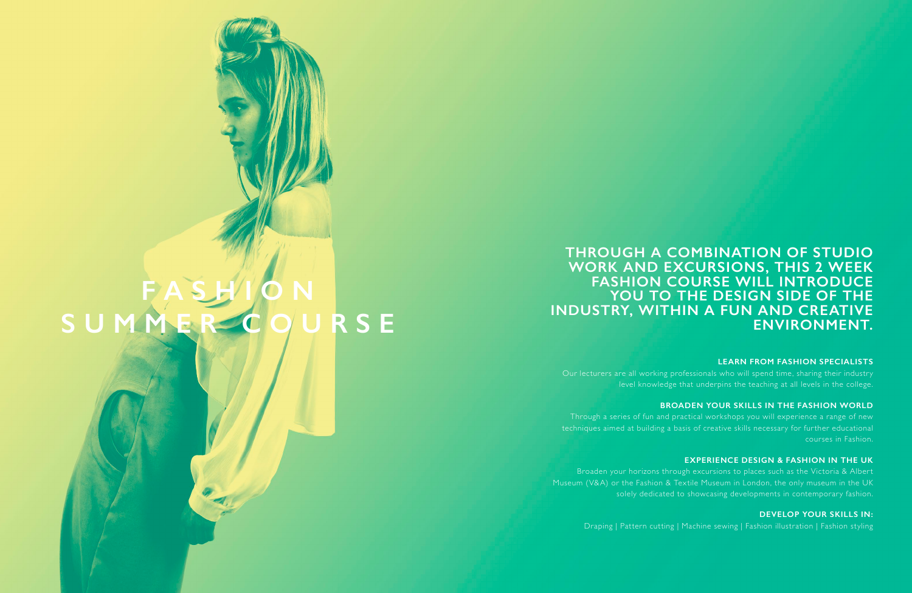**LEARN FROM FASHION SPECIALISTS** Our lecturers are all working professionals who will spend time, sharing their industry level knowledge that underpins the teaching at all levels in the college.

**BROADEN YOUR SKILLS IN THE FASHION WORLD** Through a series of fun and practical workshops you will experience a range of new techniques aimed at building a basis of creative skills necessary for further educational courses in Fashion.

**DEVELOP YOUR SKILLS IN:** Draping | Pattern cutting | Machine sewing | Fashion illustration | Fashion styling

**EXPERIENCE DESIGN & FASHION IN THE UK** Broaden your horizons through excursions to places such as the Victoria & Albert Museum (V&A) or the Fashion & Textile Museum in London, the only museum in the UK solely dedicated to showcasing developments in contemporary fashion.

## **FASHION SUMMER COURSE**

**THROUGH A COMBINATION OF STUDIO WORK AND EXCURSIONS, THIS 2 WEEK FASHION COURSE WILL INTRODUCE**  YOU TO THE DESIGN SIDE OF THE **INDUSTRY, WITHIN A FUN AND CREATIVE ENVIRONMENT.**